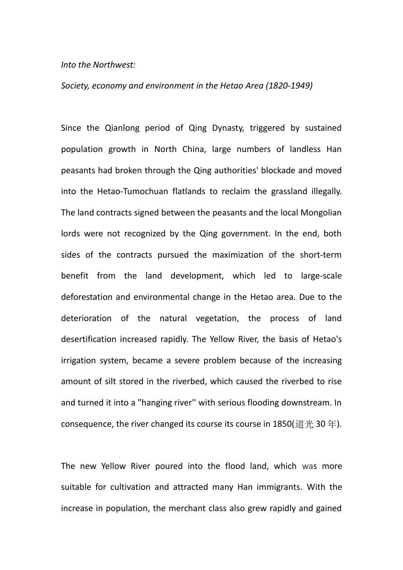## *Into the Northwest:*

## *Society, economy and environment in the Hetao Area (1820-1949)*

Since the Qianlong period of Qing Dynasty, triggered by sustained population growth in North China, large numbers of landless Han peasants had broken through the Qing authorities' blockade and moved into the Hetao-Tumochuan flatlands to reclaim the grassland illegally. The land contracts signed between the peasants and the local Mongolian lords were not recognized by the Qing government. In the end, both sides of the contracts pursued the maximization of the short-term benefit from the land development, which led to large-scale deforestation and environmental change in the Hetao area. Due to the deterioration of the natural vegetation, the process of land desertification increased rapidly. The Yellow River, the basis of Hetao's irrigation system, became a severe problem because of the increasing amount of silt stored in the riverbed, which caused the riverbed to rise and turned it into a "hanging river'' with serious flooding downstream. In consequence, the river changed its course its course in 1850(道光 30年).

The new Yellow River poured into the flood land, which was more suitable for cultivation and attracted many Han immigrants. With the increase in population, the merchant class also grew rapidly and gained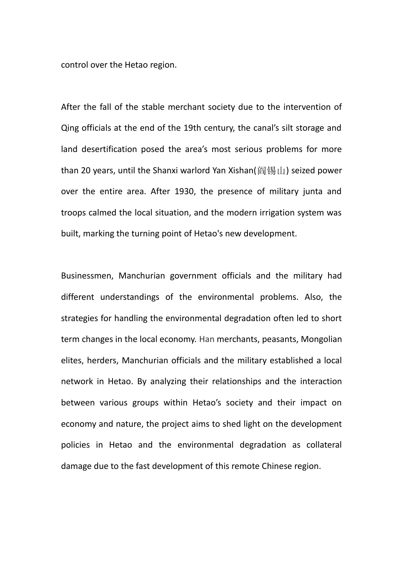control over the Hetao region.

After the fall of the stable merchant society due to the intervention of Qing officials at the end of the 19th century, the canal's silt storage and land desertification posed the area's most serious problems for more than 20 years, until the Shanxi warlord Yan Xishan(阎锡山) seized power over the entire area. After 1930, the presence of military junta and troops calmed the local situation, and the modern irrigation system was built, marking the turning point of Hetao's new development.

Businessmen, Manchurian government officials and the military had different understandings of the environmental problems. Also, the strategies for handling the environmental degradation often led to short term changes in the local economy. Han merchants, peasants, Mongolian elites, herders, Manchurian officials and the military established a local network in Hetao. By analyzing their relationships and the interaction between various groups within Hetao's society and their impact on economy and nature, the project aims to shed light on the development policies in Hetao and the environmental degradation as collateral damage due to the fast development of this remote Chinese region.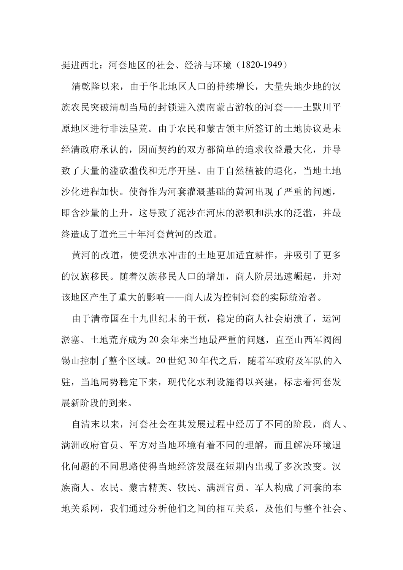挺进西北:河套地区的社会、经济与环境(1820-1949)

 清乾隆以来,由于华北地区人口的持续增长,大量失地少地的汉 族农民突破清朝当局的封锁进入漠南蒙古游牧的河套——土默川平 原地区进行非法垦荒。由于农民和蒙古领主所签订的土地协议是未 经清政府承认的,因而契约的双方都简单的追求收益最大化,并导 致了大量的滥砍滥伐和无序开垦。由于自然植被的退化,当地土地 沙化进程加快。使得作为河套灌溉基础的黄河出现了严重的问题, 即含沙量的上升。这导致了泥沙在河床的淤积和洪水的泛滥,并最 终造成了道光三十年河套黄河的改道。

 黄河的改道,使受洪水冲击的土地更加适宜耕作,并吸引了更多 的汉族移民。随着汉族移民人口的增加,商人阶层迅速崛起,并对 该地区产生了重大的影响——商人成为控制河套的实际统治者。

 由于清帝国在十九世纪末的干预,稳定的商人社会崩溃了,运河 淤塞、土地荒弃成为 20 余年来当地最严重的问题,直至山西军阀阎 锡山控制了整个区域。20 世纪 30 年代之后,随着军政府及军队的入 驻,当地局势稳定下来,现代化水利设施得以兴建,标志着河套发 展新阶段的到来。

 自清末以来,河套社会在其发展过程中经历了不同的阶段,商人、 满洲政府官员、军方对当地环境有着不同的理解,而且解决环境退 化问题的不同思路使得当地经济发展在短期内出现了多次改变。汉 族商人、农民、蒙古精英、牧民、满洲官员、军人构成了河套的本 地关系网,我们通过分析他们之间的相互关系,及他们与整个社会、